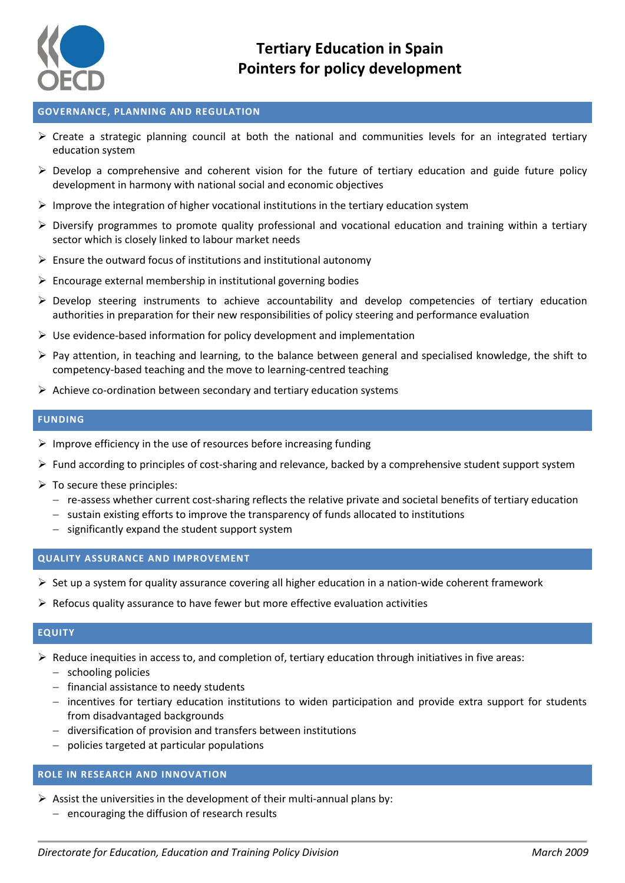

#### **GOVERNANCE, PLANNING AND REGULATION**

- $\triangleright$  Create a strategic planning council at both the national and communities levels for an integrated tertiary education system
- $\triangleright$  Develop a comprehensive and coherent vision for the future of tertiary education and guide future policy development in harmony with national social and economic objectives
- $\triangleright$  Improve the integration of higher vocational institutions in the tertiary education system
- $\triangleright$  Diversify programmes to promote quality professional and vocational education and training within a tertiary sector which is closely linked to labour market needs
- $\triangleright$  Ensure the outward focus of institutions and institutional autonomy
- $\triangleright$  Encourage external membership in institutional governing bodies
- Develop steering instruments to achieve accountability and develop competencies of tertiary education authorities in preparation for their new responsibilities of policy steering and performance evaluation
- $\triangleright$  Use evidence-based information for policy development and implementation
- $\triangleright$  Pay attention, in teaching and learning, to the balance between general and specialised knowledge, the shift to competency-based teaching and the move to learning-centred teaching
- $\triangleright$  Achieve co-ordination between secondary and tertiary education systems

#### **FUNDING**

- $\triangleright$  Improve efficiency in the use of resources before increasing funding
- $\triangleright$  Fund according to principles of cost-sharing and relevance, backed by a comprehensive student support system
- $\triangleright$  To secure these principles:
	- re-assess whether current cost-sharing reflects the relative private and societal benefits of tertiary education
	- $-$  sustain existing efforts to improve the transparency of funds allocated to institutions
	- $-$  significantly expand the student support system

#### **QUALITY ASSURANCE AND IMPROVEMENT**

- $\triangleright$  Set up a system for quality assurance covering all higher education in a nation-wide coherent framework
- $\triangleright$  Refocus quality assurance to have fewer but more effective evaluation activities

#### **EQUITY**

- $\triangleright$  Reduce inequities in access to, and completion of, tertiary education through initiatives in five areas:
	- schooling policies
	- $-$  financial assistance to needy students
	- incentives for tertiary education institutions to widen participation and provide extra support for students from disadvantaged backgrounds
	- diversification of provision and transfers between institutions
	- policies targeted at particular populations

#### **ROLE IN RESEARCH AND INNOVATION**

- $\triangleright$  Assist the universities in the development of their multi-annual plans by:
	- $-$  encouraging the diffusion of research results